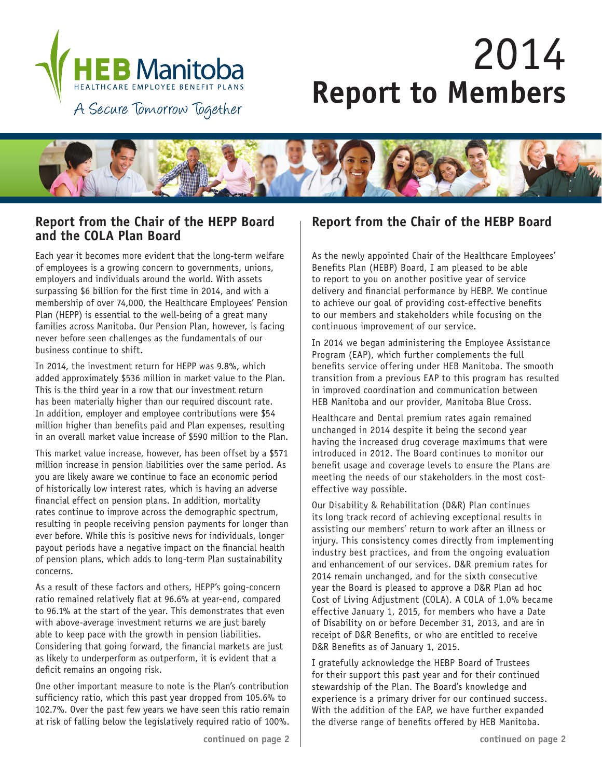

# 2014 **Report to Members**



### **Report from the Chair of the HEPP Board and the COLA Plan Board**

Each year it becomes more evident that the long-term welfare of employees is a growing concern to governments, unions, employers and individuals around the world. With assets surpassing \$6 billion for the first time in 2014, and with a membership of over 74,000, the Healthcare Employees' Pension Plan (HEPP) is essential to the well-being of a great many families across Manitoba. Our Pension Plan, however, is facing never before seen challenges as the fundamentals of our business continue to shift.

In 2014, the investment return for HEPP was 9.8%, which added approximately \$536 million in market value to the Plan. This is the third year in a row that our investment return has been materially higher than our required discount rate. In addition, employer and employee contributions were \$54 million higher than benefits paid and Plan expenses, resulting in an overall market value increase of \$590 million to the Plan.

This market value increase, however, has been offset by a \$571 million increase in pension liabilities over the same period. As you are likely aware we continue to face an economic period of historically low interest rates, which is having an adverse financial effect on pension plans. In addition, mortality rates continue to improve across the demographic spectrum, resulting in people receiving pension payments for longer than ever before. While this is positive news for individuals, longer payout periods have a negative impact on the financial health of pension plans, which adds to long-term Plan sustainability concerns.

As a result of these factors and others, HEPP's going-concern ratio remained relatively flat at 96.6% at year-end, compared to 96.1% at the start of the year. This demonstrates that even with above-average investment returns we are just barely able to keep pace with the growth in pension liabilities. Considering that going forward, the financial markets are just as likely to underperform as outperform, it is evident that a deficit remains an ongoing risk.

One other important measure to note is the Plan's contribution sufficiency ratio, which this past year dropped from 105.6% to 102.7%. Over the past few years we have seen this ratio remain at risk of falling below the legislatively required ratio of 100%.

### **Report from the Chair of the HEBP Board**

As the newly appointed Chair of the Healthcare Employees' Benefits Plan (HEBP) Board, I am pleased to be able to report to you on another positive year of service delivery and financial performance by HEBP. We continue to achieve our goal of providing cost-effective benefits to our members and stakeholders while focusing on the continuous improvement of our service.

In 2014 we began administering the Employee Assistance Program (EAP), which further complements the full benefits service offering under HEB Manitoba. The smooth transition from a previous EAP to this program has resulted in improved coordination and communication between HEB Manitoba and our provider, Manitoba Blue Cross.

Healthcare and Dental premium rates again remained unchanged in 2014 despite it being the second year having the increased drug coverage maximums that were introduced in 2012. The Board continues to monitor our benefit usage and coverage levels to ensure the Plans are meeting the needs of our stakeholders in the most costeffective way possible.

Our Disability & Rehabilitation (D&R) Plan continues its long track record of achieving exceptional results in assisting our members' return to work after an illness or injury. This consistency comes directly from implementing industry best practices, and from the ongoing evaluation and enhancement of our services. D&R premium rates for 2014 remain unchanged, and for the sixth consecutive year the Board is pleased to approve a D&R Plan ad hoc Cost of Living Adjustment (COLA). A COLA of 1.0% became effective January 1, 2015, for members who have a Date of Disability on or before December 31, 2013, and are in receipt of D&R Benefits, or who are entitled to receive D&R Benefits as of January 1, 2015.

I gratefully acknowledge the HEBP Board of Trustees for their support this past year and for their continued stewardship of the Plan. The Board's knowledge and experience is a primary driver for our continued success. With the addition of the EAP, we have further expanded the diverse range of benefits offered by HEB Manitoba.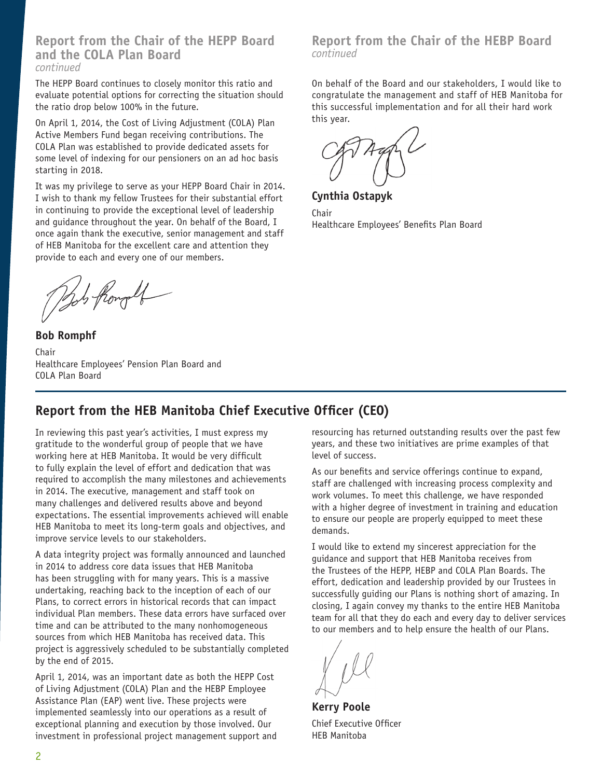#### **Report from the Chair of the HEPP Board and the COLA Plan Board** *continued*

The HEPP Board continues to closely monitor this ratio and evaluate potential options for correcting the situation should the ratio drop below 100% in the future.

On April 1, 2014, the Cost of Living Adjustment (COLA) Plan Active Members Fund began receiving contributions. The COLA Plan was established to provide dedicated assets for some level of indexing for our pensioners on an ad hoc basis starting in 2018.

It was my privilege to serve as your HEPP Board Chair in 2014. I wish to thank my fellow Trustees for their substantial effort in continuing to provide the exceptional level of leadership and guidance throughout the year. On behalf of the Board, I once again thank the executive, senior management and staff of HEB Manitoba for the excellent care and attention they provide to each and every one of our members.

Bob from of

**Bob Romphf** Chair Healthcare Employees' Pension Plan Board and COLA Plan Board

#### **Report from the Chair of the HEBP Board** *continued*

On behalf of the Board and our stakeholders, I would like to congratulate the management and staff of HEB Manitoba for this successful implementation and for all their hard work this year.

**Cynthia Ostapyk** Chair Healthcare Employees' Benefits Plan Board

# **Report from the HEB Manitoba Chief Executive Officer (CEO)**

In reviewing this past year's activities, I must express my gratitude to the wonderful group of people that we have working here at HEB Manitoba. It would be very difficult to fully explain the level of effort and dedication that was required to accomplish the many milestones and achievements in 2014. The executive, management and staff took on many challenges and delivered results above and beyond expectations. The essential improvements achieved will enable HEB Manitoba to meet its long-term goals and objectives, and improve service levels to our stakeholders.

A data integrity project was formally announced and launched in 2014 to address core data issues that HEB Manitoba has been struggling with for many years. This is a massive undertaking, reaching back to the inception of each of our Plans, to correct errors in historical records that can impact individual Plan members. These data errors have surfaced over time and can be attributed to the many nonhomogeneous sources from which HEB Manitoba has received data. This project is aggressively scheduled to be substantially completed by the end of 2015.

April 1, 2014, was an important date as both the HEPP Cost of Living Adjustment (COLA) Plan and the HEBP Employee Assistance Plan (EAP) went live. These projects were implemented seamlessly into our operations as a result of exceptional planning and execution by those involved. Our investment in professional project management support and

resourcing has returned outstanding results over the past few years, and these two initiatives are prime examples of that level of success.

As our benefits and service offerings continue to expand, staff are challenged with increasing process complexity and work volumes. To meet this challenge, we have responded with a higher degree of investment in training and education to ensure our people are properly equipped to meet these demands.

I would like to extend my sincerest appreciation for the guidance and support that HEB Manitoba receives from the Trustees of the HEPP, HEBP and COLA Plan Boards. The effort, dedication and leadership provided by our Trustees in successfully guiding our Plans is nothing short of amazing. In closing, I again convey my thanks to the entire HEB Manitoba team for all that they do each and every day to deliver services to our members and to help ensure the health of our Plans.

**Kerry Poole** Chief Executive Officer HEB Manitoba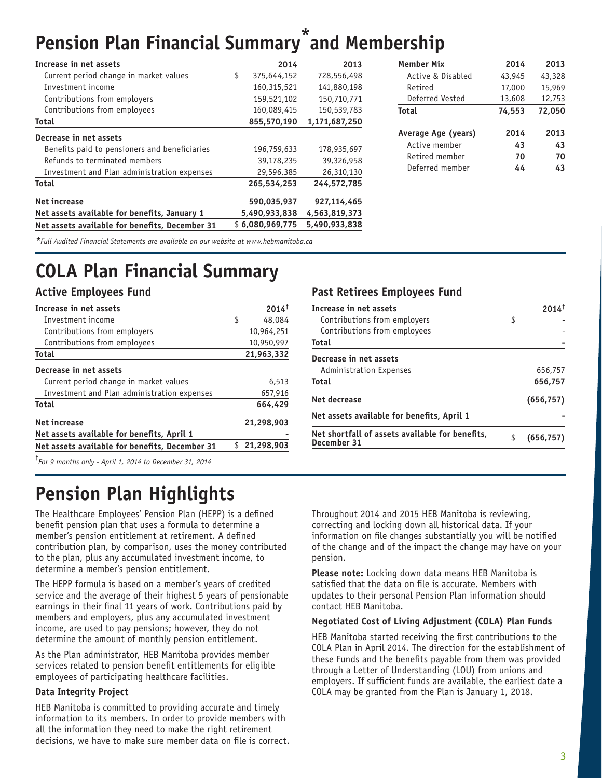# **Pension Plan Financial Summary and Membership**

| Increase in net assets                         | 2014              | 2013          | <b>Member Mix</b>   | 2014   | 2013   |
|------------------------------------------------|-------------------|---------------|---------------------|--------|--------|
| Current period change in market values         | \$<br>375,644,152 | 728,556,498   | Active & Disabled   | 43,945 | 43,328 |
| Investment income                              | 160,315,521       | 141,880,198   | Retired             | 17,000 | 15,969 |
| Contributions from employers                   | 159,521,102       | 150,710,771   | Deferred Vested     | 13,608 | 12,753 |
| Contributions from employees                   | 160,089,415       | 150,539,783   | Total               | 74,553 | 72,050 |
| Total                                          | 855,570,190       | 1,171,687,250 |                     |        |        |
| Decrease in net assets                         |                   |               | Average Age (years) | 2014   | 2013   |
|                                                |                   |               | Active member       | 43     | 43     |
| Benefits paid to pensioners and beneficiaries  | 196,759,633       | 178,935,697   | Retired member      | 70     | 70     |
| Refunds to terminated members                  | 39,178,235        | 39,326,958    |                     |        |        |
| Investment and Plan administration expenses    | 29,596,385        | 26,310,130    | Deferred member     | 44     | 43     |
| <b>Total</b>                                   | 265,534,253       | 244,572,785   |                     |        |        |
| Net increase                                   | 590.035.937       | 927,114,465   |                     |        |        |
| Net assets available for benefits, January 1   | 5,490,933,838     | 4,563,819,373 |                     |        |        |
| Net assets available for benefits, December 31 | \$6,080,969,775   | 5,490,933,838 |                     |        |        |

*\*Full Audited Financial Statements are available on our website at www.hebmanitoba.ca*

# **COLA Plan Financial Summary**

| Increase in net assets                         |   | $2014^{\dagger}$ |
|------------------------------------------------|---|------------------|
| Investment income                              | S | 48,084           |
| Contributions from employers                   |   | 10,964,251       |
| Contributions from employees                   |   | 10,950,997       |
| Total                                          |   | 21,963,332       |
| Decrease in net assets                         |   |                  |
| Current period change in market values         |   | 6,513            |
| Investment and Plan administration expenses    |   | 657,916          |
| Total                                          |   | 664,429          |
| Net increase                                   |   | 21,298,903       |
| Net assets available for benefits, April 1     |   |                  |
| Net assets available for benefits, December 31 |   | 21,298,903       |
|                                                |   |                  |

**†** *For 9 months only - April 1, 2014 to December 31, 2014*

# **Pension Plan Highlights**

The Healthcare Employees' Pension Plan (HEPP) is a defined benefit pension plan that uses a formula to determine a member's pension entitlement at retirement. A defined contribution plan, by comparison, uses the money contributed to the plan, plus any accumulated investment income, to determine a member's pension entitlement.

The HEPP formula is based on a member's years of credited service and the average of their highest 5 years of pensionable earnings in their final 11 years of work. Contributions paid by members and employers, plus any accumulated investment income, are used to pay pensions; however, they do not determine the amount of monthly pension entitlement.

As the Plan administrator, HEB Manitoba provides member services related to pension benefit entitlements for eligible employees of participating healthcare facilities.

#### **Data Integrity Project**

HEB Manitoba is committed to providing accurate and timely information to its members. In order to provide members with all the information they need to make the right retirement decisions, we have to make sure member data on file is correct.

#### **Active Employees Fund Past Retirees Employees Fund**

| Increase in net assets                                         | $2014^{\dagger}$ |
|----------------------------------------------------------------|------------------|
| Contributions from employers                                   | \$               |
| Contributions from employees                                   |                  |
| Total                                                          |                  |
| Decrease in net assets                                         |                  |
| <b>Administration Expenses</b>                                 | 656,757          |
| Total                                                          | 656,757          |
| Net decrease                                                   | (656, 757)       |
| Net assets available for benefits, April 1                     |                  |
| Net shortfall of assets available for benefits,<br>December 31 | \$<br>(656, 757) |

Throughout 2014 and 2015 HEB Manitoba is reviewing, correcting and locking down all historical data. If your information on file changes substantially you will be notified of the change and of the impact the change may have on your pension.

**Please note:** Locking down data means HEB Manitoba is satisfied that the data on file is accurate. Members with updates to their personal Pension Plan information should contact HEB Manitoba.

#### **Negotiated Cost of Living Adjustment (COLA) Plan Funds**

HEB Manitoba started receiving the first contributions to the COLA Plan in April 2014. The direction for the establishment of these Funds and the benefits payable from them was provided through a Letter of Understanding (LOU) from unions and employers. If sufficient funds are available, the earliest date a COLA may be granted from the Plan is January 1, 2018.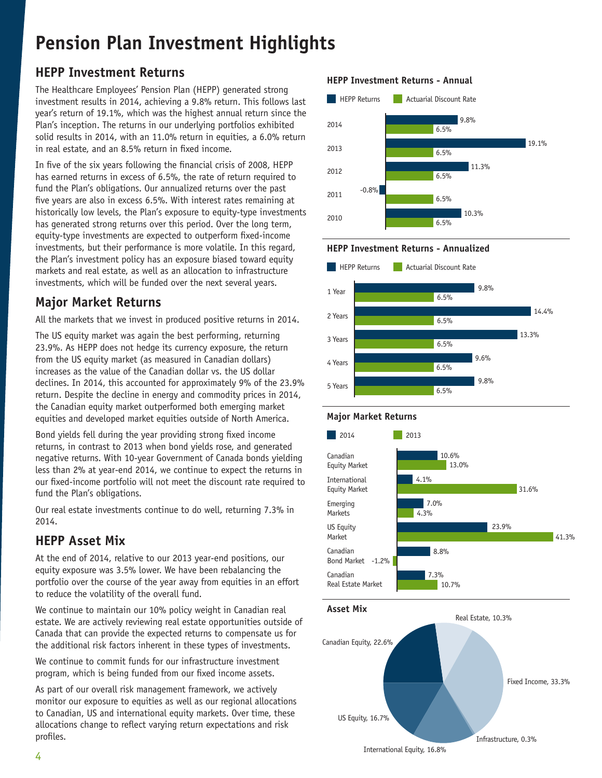# **Pension Plan Investment Highlights**

# **HEPP Investment Returns**

The Healthcare Employees' Pension Plan (HEPP) generated strong investment results in 2014, achieving a 9.8% return. This follows last year's return of 19.1%, which was the highest annual return since the Plan's inception. The returns in our underlying portfolios exhibited solid results in 2014, with an 11.0% return in equities, a 6.0% return in real estate, and an 8.5% return in fixed income.

In five of the six years following the financial crisis of 2008, HEPP has earned returns in excess of 6.5%, the rate of return required to fund the Plan's obligations. Our annualized returns over the past five years are also in excess 6.5%. With interest rates remaining at historically low levels, the Plan's exposure to equity-type investments has generated strong returns over this period. Over the long term, equity-type investments are expected to outperform fixed-income investments, but their performance is more volatile. In this regard, the Plan's investment policy has an exposure biased toward equity markets and real estate, as well as an allocation to infrastructure investments, which will be funded over the next several years.

# **Major Market Returns**

All the markets that we invest in produced positive returns in 2014.

The US equity market was again the best performing, returning 23.9%. As HEPP does not hedge its currency exposure, the return from the US equity market (as measured in Canadian dollars) increases as the value of the Canadian dollar vs. the US dollar declines. In 2014, this accounted for approximately 9% of the 23.9% return. Despite the decline in energy and commodity prices in 2014, the Canadian equity market outperformed both emerging market equities and developed market equities outside of North America.

Bond yields fell during the year providing strong fixed income returns, in contrast to 2013 when bond yields rose, and generated negative returns. With 10-year Government of Canada bonds yielding less than 2% at year-end 2014, we continue to expect the returns in our fixed-income portfolio will not meet the discount rate required to fund the Plan's obligations.

Our real estate investments continue to do well, returning 7.3% in 2014.

# **HEPP Asset Mix**

At the end of 2014, relative to our 2013 year-end positions, our equity exposure was 3.5% lower. We have been rebalancing the portfolio over the course of the year away from equities in an effort to reduce the volatility of the overall fund.

We continue to maintain our 10% policy weight in Canadian real estate. We are actively reviewing real estate opportunities outside of Canada that can provide the expected returns to compensate us for the additional risk factors inherent in these types of investments.

We continue to commit funds for our infrastructure investment program, which is being funded from our fixed income assets.

As part of our overall risk management framework, we actively monitor our exposure to equities as well as our regional allocations to Canadian, US and international equity markets. Over time, these allocations change to reflect varying return expectations and risk profiles.

#### **HEPP Investment Returns - Annual**







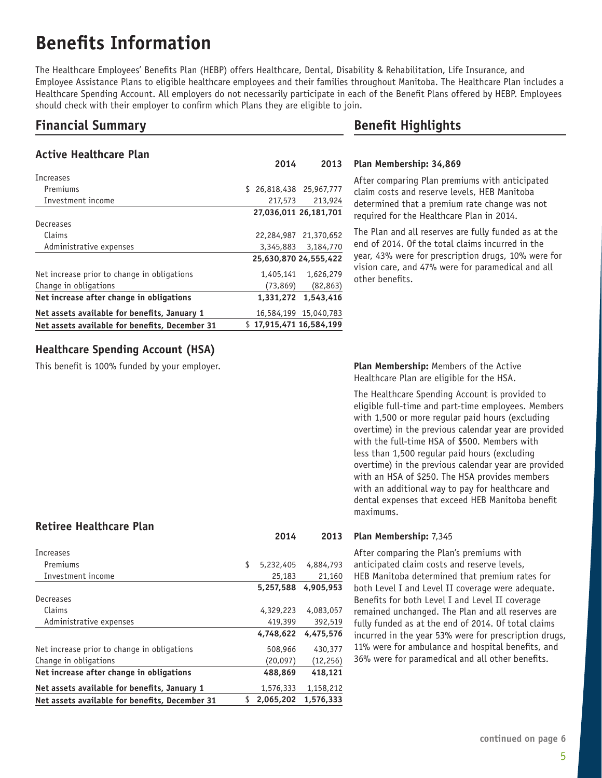# **Benefits Information**

The Healthcare Employees' Benefits Plan (HEBP) offers Healthcare, Dental, Disability & Rehabilitation, Life Insurance, and Employee Assistance Plans to eligible healthcare employees and their families throughout Manitoba. The Healthcare Plan includes a Healthcare Spending Account. All employers do not necessarily participate in each of the Benefit Plans offered by HEBP. Employees should check with their employer to confirm which Plans they are eligible to join.

## **Financial Summary**

### **Active Healthcare Plan**

| Increases                                      |          |                          |
|------------------------------------------------|----------|--------------------------|
| Premiums                                       |          | \$ 26,818,438 25,967,777 |
| Investment income                              | 217,573  | 213,924                  |
|                                                |          | 27.036.011 26.181.701    |
| Decreases                                      |          |                          |
| Claims                                         |          | 22.284.987 21.370.652    |
| Administrative expenses                        |          | 3,345,883 3,184,770      |
|                                                |          | 25.630.870 24.555.422    |
| Net increase prior to change in obligations    |          | 1.405.141 1.626.279      |
| Change in obligations                          | (73,869) | (82, 863)                |
| Net increase after change in obligations       |          | 1,331,272 1,543,416      |
| Net assets available for benefits, January 1   |          | 16,584,199 15,040,783    |
| Net assets available for benefits, December 31 |          | \$17.915.471 16.584.199  |

## **Benefit Highlights**

#### **Plan Membership: 34,869 2014 2013**

After comparing Plan premiums with anticipated claim costs and reserve levels, HEB Manitoba determined that a premium rate change was not required for the Healthcare Plan in 2014.

The Plan and all reserves are fully funded as at the end of 2014. Of the total claims incurred in the year, 43% were for prescription drugs, 10% were for vision care, and 47% were for paramedical and all other benefits.

### **Healthcare Spending Account (HSA)**

This benefit is 100% funded by your employer.

### **Retiree Healthcare Plan**

| Increases                                      |    |           |           |
|------------------------------------------------|----|-----------|-----------|
| Premiums                                       | \$ | 5,232,405 | 4,884,793 |
| Investment income                              |    | 25,183    | 21,160    |
|                                                |    | 5,257,588 | 4,905,953 |
| Decreases                                      |    |           |           |
| Claims                                         |    | 4,329,223 | 4,083,057 |
| Administrative expenses                        |    | 419,399   | 392,519   |
|                                                |    | 4.748.622 | 4.475.576 |
| Net increase prior to change in obligations    |    | 508,966   | 430,377   |
| Change in obligations                          |    | (20, 097) | (12, 256) |
| Net increase after change in obligations       |    | 488,869   | 418,121   |
| Net assets available for benefits, January 1   |    | 1,576,333 | 1,158,212 |
| Net assets available for benefits, December 31 | S. | 2,065,202 | 1.576.333 |

#### **Plan Membership:** Members of the Active Healthcare Plan are eligible for the HSA.

The Healthcare Spending Account is provided to eligible full-time and part-time employees. Members with 1,500 or more regular paid hours (excluding overtime) in the previous calendar year are provided with the full-time HSA of \$500. Members with less than 1,500 regular paid hours (excluding overtime) in the previous calendar year are provided with an HSA of \$250. The HSA provides members with an additional way to pay for healthcare and dental expenses that exceed HEB Manitoba benefit maximums.

#### **Plan Membership:** 7,345 **2014 2013**

After comparing the Plan's premiums with anticipated claim costs and reserve levels, HEB Manitoba determined that premium rates for both Level I and Level II coverage were adequate. Benefits for both Level I and Level II coverage remained unchanged. The Plan and all reserves are fully funded as at the end of 2014. Of total claims incurred in the year 53% were for prescription drugs, 11% were for ambulance and hospital benefits, and 36% were for paramedical and all other benefits.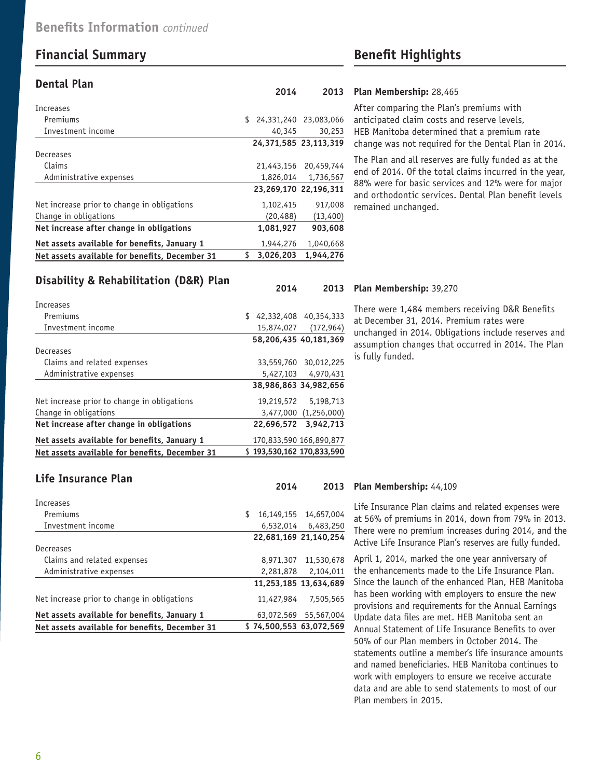# **Financial Summary Benefit Highlights**

#### **Dental Plan**

|                                                | <u>____</u>                 | <u>LV 19</u>          |
|------------------------------------------------|-----------------------------|-----------------------|
| Increases                                      |                             |                       |
| Premiums                                       | \$<br>24,331,240 23,083,066 |                       |
| Investment income                              | 40,345                      | 30,253                |
|                                                | 24,371,585 23,113,319       |                       |
| Decreases                                      |                             |                       |
| Claims                                         |                             | 21,443,156 20,459,744 |
| Administrative expenses                        |                             | 1,826,014 1,736,567   |
|                                                | 23,269,170 22,196,311       |                       |
| Net increase prior to change in obligations    | 1,102,415                   | 917,008               |
| Change in obligations                          | (20, 488)                   | (13, 400)             |
| Net increase after change in obligations       | 1.081.927                   | 903.608               |
| Net assets available for benefits, January 1   | 1,944,276                   | 1,040,668             |
| Net assets available for benefits, December 31 | \$<br>3.026.203             | 1.944.276             |

#### **Plan Membership:** 28,465 **2014 2013**

After comparing the Plan's premiums with anticipated claim costs and reserve levels, HEB Manitoba determined that a premium rate change was not required for the Dental Plan in 2014.

The Plan and all reserves are fully funded as at the end of 2014. Of the total claims incurred in the year, 88% were for basic services and 12% were for major and orthodontic services. Dental Plan benefit levels remained unchanged.

#### **Disability & Rehabilitation (D&R) Plan**

| Increases                                      |    |                           |
|------------------------------------------------|----|---------------------------|
| Premiums                                       | S. | 42,332,408 40,354,333     |
| Investment income                              |    | 15,874,027 (172,964)      |
|                                                |    | 58.206.435 40.181.369     |
| Decreases                                      |    |                           |
| Claims and related expenses                    |    | 33,559,760 30,012,225     |
| Administrative expenses                        |    | 5,427,103 4,970,431       |
|                                                |    | 38,986,863 34,982,656     |
| Net increase prior to change in obligations    |    | 19,219,572 5,198,713      |
| Change in obligations                          |    | 3,477,000 (1,256,000)     |
| Net increase after change in obligations       |    | 22,696,572 3,942,713      |
| Net assets available for benefits, January 1   |    | 170,833,590 166,890,877   |
| Net assets available for benefits, December 31 |    | \$193,530.162 170.833,590 |

#### **Plan Membership:** 39,270 **2014 2013**

There were 1,484 members receiving D&R Benefits at December 31, 2014. Premium rates were unchanged in 2014. Obligations include reserves and assumption changes that occurred in 2014. The Plan is fully funded.

### **Life Insurance Plan**

| Net assets available for benefits, December 31 |   |            | \$74,500,553 63,072,569   |
|------------------------------------------------|---|------------|---------------------------|
| Net assets available for benefits, January 1   |   | 63,072,569 | 55,567,004                |
| Net increase prior to change in obligations    |   | 11,427,984 | 7,505,565                 |
|                                                |   |            | 11,253,185 13,634,689     |
| Administrative expenses                        |   | 2,281,878  | 2,104,011                 |
| Claims and related expenses                    |   | 8,971,307  | 11,530,678                |
| Decreases                                      |   |            |                           |
|                                                |   |            | 22,681,169 21,140,254     |
| Investment income                              |   | 6,532,014  | 6,483,250                 |
| Premiums                                       | S |            | 16, 149, 155 14, 657, 004 |
| Increases                                      |   |            |                           |
|                                                |   |            |                           |

# **Plan Membership:** 44,109 **2014 2013**

Life Insurance Plan claims and related expenses were at 56% of premiums in 2014, down from 79% in 2013. There were no premium increases during 2014, and the Active Life Insurance Plan's reserves are fully funded.

April 1, 2014, marked the one year anniversary of the enhancements made to the Life Insurance Plan. Since the launch of the enhanced Plan, HEB Manitoba has been working with employers to ensure the new provisions and requirements for the Annual Earnings Update data files are met. HEB Manitoba sent an Annual Statement of Life Insurance Benefits to over 50% of our Plan members in October 2014. The statements outline a member's life insurance amounts and named beneficiaries. HEB Manitoba continues to work with employers to ensure we receive accurate data and are able to send statements to most of our Plan members in 2015.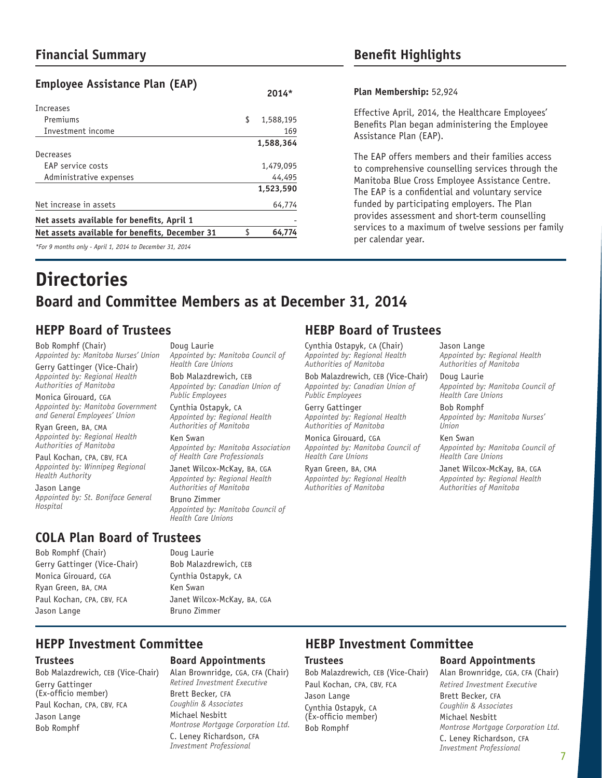## **Financial Summary Benefit Highlights**

### **Employee Assistance Plan (EAP)**

| Increases                                               |                 |
|---------------------------------------------------------|-----------------|
| Premiums                                                | \$<br>1,588,195 |
| Investment income                                       | 169             |
|                                                         | 1,588,364       |
| Decreases                                               |                 |
| EAP service costs                                       | 1,479,095       |
| Administrative expenses                                 | 44,495          |
|                                                         | 1,523,590       |
| Net increase in assets                                  | 64,774          |
| Net assets available for benefits, April 1              |                 |
| Net assets available for benefits, December 31          | 64.774          |
| *For 9 months only - April 1, 2014 to December 31, 2014 |                 |

#### **Plan Membership:** 52,924

Effective April, 2014, the Healthcare Employees' Benefits Plan began administering the Employee Assistance Plan (EAP).

The EAP offers members and their families access to comprehensive counselling services through the Manitoba Blue Cross Employee Assistance Centre. The EAP is a confidential and voluntary service funded by participating employers. The Plan provides assessment and short-term counselling services to a maximum of twelve sessions per family per calendar year.

# **Directories Board and Committee Members as at December 31, 2014**

**2014\***

# **HEPP Board of Trustees HEBP Board of Trustees**

Bob Romphf (Chair) *Appointed by: Manitoba Nurses' Union* Gerry Gattinger (Vice-Chair) *Appointed by: Regional Health* 

*Authorities of Manitoba* Monica Girouard, CGA *Appointed by: Manitoba Government and General Employees' Union*

Ryan Green, BA, CMA *Appointed by: Regional Health Authorities of Manitoba*

Paul Kochan, CPA, CBV, FCA *Appointed by: Winnipeg Regional Health Authority*

Jason Lange *Appointed by: St. Boniface General Hospital*

#### Doug Laurie

*Appointed by: Manitoba Council of Health Care Unions*

Bob Malazdrewich, CEB *Appointed by: Canadian Union of Public Employees*

Cynthia Ostapyk, CA *Appointed by: Regional Health Authorities of Manitoba*

Ken Swan *Appointed by: Manitoba Association of Health Care Professionals*

Janet Wilcox-McKay, BA, CGA *Appointed by: Regional Health Authorities of Manitoba*

Bruno Zimmer *Appointed by: Manitoba Council of Health Care Unions*

Cynthia Ostapyk, CA (Chair) *Appointed by: Regional Health Authorities of Manitoba*

Bob Malazdrewich, CEB (Vice-Chair) *Appointed by: Canadian Union of Public Employees*

Gerry Gattinger *Appointed by: Regional Health Authorities of Manitoba*

Monica Girouard, CGA *Appointed by: Manitoba Council of Health Care Unions*

Ryan Green, BA, CMA *Appointed by: Regional Health Authorities of Manitoba*

#### Jason Lange *Appointed by: Regional Health Authorities of Manitoba*

Doug Laurie *Appointed by: Manitoba Council of Health Care Unions*

Bob Romphf *Appointed by: Manitoba Nurses' Union*

Ken Swan *Appointed by: Manitoba Council of Health Care Unions*

Janet Wilcox-McKay, BA, CGA *Appointed by: Regional Health Authorities of Manitoba*

# **COLA Plan Board of Trustees**

Bob Romphf (Chair) Gerry Gattinger (Vice-Chair) Monica Girouard, CGA Ryan Green, BA, CMA Paul Kochan, CPA, CBV, FCA Jason Lange

Doug Laurie Bob Malazdrewich, CEB Cynthia Ostapyk, CA Ken Swan Janet Wilcox-McKay, BA, CGA Bruno Zimmer

#### **Trustees**

Bob Malazdrewich, CEB (Vice-Chair) Gerry Gattinger (Ex-officio member) Paul Kochan, CPA, CBV, FCA Jason Lange Bob Romphf

#### **Board Appointments**

Alan Brownridge, CGA, CFA (Chair) *Retired Investment Executive* Brett Becker, CFA *Coughlin & Associates* Michael Nesbitt *Montrose Mortgage Corporation Ltd.* C. Leney Richardson, CFA *Investment Professional*

# **HEPP Investment Committee HEBP Investment Committee**

#### **Trustees**

Bob Malazdrewich, CEB (Vice-Chair) Paul Kochan, CPA, CBV, FCA Jason Lange Cynthia Ostapyk, CA (Ex-officio member) Bob Romphf

#### **Board Appointments**

Alan Brownridge, CGA, CFA (Chair) *Retired Investment Executive*  Brett Becker, CFA *Coughlin & Associates* Michael Nesbitt *Montrose Mortgage Corporation Ltd.* C. Leney Richardson, CFA *Investment Professional*